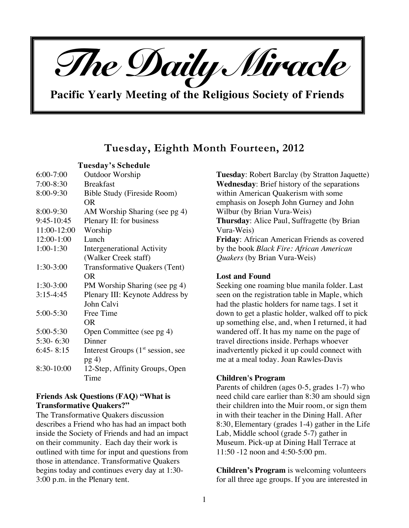

**Pacific Yearly Meeting of the Religious Society of Friends**

# **Tuesday, Eighth Month Fourteen, 2012**

**Tuesday's Schedule**

| $6:00 - 7:00$ | <b>Outdoor Worship</b>               |  |  |  |  |
|---------------|--------------------------------------|--|--|--|--|
| $7:00-8:30$   | <b>Breakfast</b>                     |  |  |  |  |
| 8:00-9:30     | <b>Bible Study (Fireside Room)</b>   |  |  |  |  |
|               | <b>OR</b>                            |  |  |  |  |
| 8:00-9:30     | AM Worship Sharing (see pg 4)        |  |  |  |  |
| 9:45-10:45    | Plenary II: for business             |  |  |  |  |
| 11:00-12:00   | Worship                              |  |  |  |  |
| 12:00-1:00    | Lunch                                |  |  |  |  |
| $1:00-1:30$   | Intergenerational Activity           |  |  |  |  |
|               | (Walker Creek staff)                 |  |  |  |  |
| $1:30-3:00$   | Transformative Quakers (Tent)        |  |  |  |  |
|               | <b>OR</b>                            |  |  |  |  |
| 1:30-3:00     | PM Worship Sharing (see pg 4)        |  |  |  |  |
| $3:15-4:45$   | Plenary III: Keynote Address by      |  |  |  |  |
|               | John Calvi                           |  |  |  |  |
| $5:00 - 5:30$ | Free Time                            |  |  |  |  |
|               | OR                                   |  |  |  |  |
| 5:00-5:30     | Open Committee (see pg 4)            |  |  |  |  |
| $5:30 - 6:30$ | Dinner                               |  |  |  |  |
| $6:45 - 8:15$ | Interest Groups $(1st session, see)$ |  |  |  |  |
|               | pg(4)                                |  |  |  |  |
| 8:30-10:00    | 12-Step, Affinity Groups, Open       |  |  |  |  |
|               | Time                                 |  |  |  |  |

# **Friends Ask Questions (FAQ) "What is Transformative Quakers?"**

The Transformative Quakers discussion describes a Friend who has had an impact both inside the Society of Friends and had an impact on their community. Each day their work is outlined with time for input and questions from those in attendance. Transformative Quakers begins today and continues every day at 1:30- 3:00 p.m. in the Plenary tent.

**Tuesday**: Robert Barclay (by Stratton Jaquette) **Wednesday**: Brief history of the separations within American Quakerism with some emphasis on Joseph John Gurney and John Wilbur (by Brian Vura-Weis) **Thursday**: Alice Paul, Suffragette (by Brian Vura-Weis) **Friday**: African American Friends as covered by the book *Black Fire: African American Quakers* (by Brian Vura-Weis)

# **Lost and Found**

Seeking one roaming blue manila folder. Last seen on the registration table in Maple, which had the plastic holders for name tags. I set it down to get a plastic holder, walked off to pick up something else, and, when I returned, it had wandered off. It has my name on the page of travel directions inside. Perhaps whoever inadvertently picked it up could connect with me at a meal today. Joan Rawles-Davis

# **Children's Program**

Parents of children (ages 0-5, grades 1-7) who need child care earlier than 8:30 am should sign their children into the Muir room, or sign them in with their teacher in the Dining Hall. After 8:30, Elementary (grades 1-4) gather in the Life Lab, Middle school (grade 5-7) gather in Museum. Pick-up at Dining Hall Terrace at 11:50 -12 noon and 4:50-5:00 pm.

**Children's Program** is welcoming volunteers for all three age groups. If you are interested in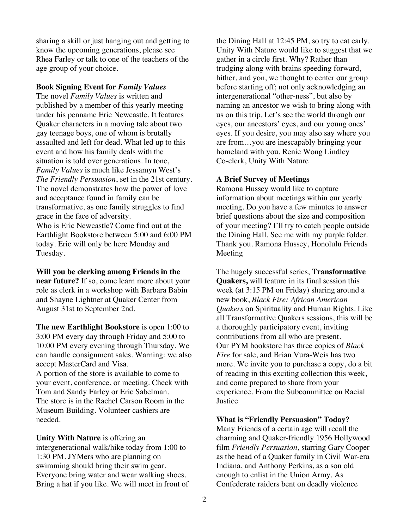sharing a skill or just hanging out and getting to know the upcoming generations, please see Rhea Farley or talk to one of the teachers of the age group of your choice.

#### **Book Signing Event for** *Family Values*

The novel *Family Values* is written and published by a member of this yearly meeting under his penname Eric Newcastle. It features Quaker characters in a moving tale about two gay teenage boys, one of whom is brutally assaulted and left for dead. What led up to this event and how his family deals with the situation is told over generations. In tone, *Family Values* is much like Jessamyn West's *The Friendly Persuasion*, set in the 21st century. The novel demonstrates how the power of love and acceptance found in family can be transformative, as one family struggles to find grace in the face of adversity. Who is Eric Newcastle? Come find out at the Earthlight Bookstore between 5:00 and 6:00 PM today. Eric will only be here Monday and Tuesday.

**Will you be clerking among Friends in the near future?** If so, come learn more about your role as clerk in a workshop with Barbara Babin and Shayne Lightner at Quaker Center from August 31st to September 2nd.

**The new Earthlight Bookstore** is open 1:00 to 3:00 PM every day through Friday and 5:00 to 10:00 PM every evening through Thursday. We can handle consignment sales. Warning: we also accept MasterCard and Visa.

A portion of the store is available to come to your event, conference, or meeting. Check with Tom and Sandy Farley or Eric Sabelman. The store is in the Rachel Carson Room in the Museum Building. Volunteer cashiers are needed.

**Unity With Nature** is offering an intergenerational walk/hike today from 1:00 to 1:30 PM. JYMers who are planning on swimming should bring their swim gear. Everyone bring water and wear walking shoes. Bring a hat if you like. We will meet in front of the Dining Hall at 12:45 PM, so try to eat early. Unity With Nature would like to suggest that we gather in a circle first. Why? Rather than trudging along with brains speeding forward, hither, and yon, we thought to center our group before starting off; not only acknowledging an intergenerational "other-ness", but also by naming an ancestor we wish to bring along with us on this trip. Let's see the world through our eyes, our ancestors' eyes, and our young ones' eyes. If you desire, you may also say where you are from…you are inescapably bringing your homeland with you. Renie Wong Lindley Co-clerk, Unity With Nature

#### **A Brief Survey of Meetings**

Ramona Hussey would like to capture information about meetings within our yearly meeting. Do you have a few minutes to answer brief questions about the size and composition of your meeting? I'll try to catch people outside the Dining Hall. See me with my purple folder. Thank you. Ramona Hussey, Honolulu Friends Meeting

The hugely successful series, **Transformative Quakers,** will feature in its final session this week (at 3:15 PM on Friday) sharing around a new book, *Black Fire: African American Quakers* on Spirituality and Human Rights. Like all Transformative Quakers sessions, this will be a thoroughly participatory event, inviting contributions from all who are present. Our PYM bookstore has three copies of *Black Fire* for sale, and Brian Vura-Weis has two more. We invite you to purchase a copy, do a bit of reading in this exciting collection this week, and come prepared to share from your experience. From the Subcommittee on Racial **Iustice** 

#### **What is "Friendly Persuasion" Today?**

Many Friends of a certain age will recall the charming and Quaker-friendly 1956 Hollywood film *Friendly Persuasion*, starring Gary Cooper as the head of a Quaker family in Civil War-era Indiana, and Anthony Perkins, as a son old enough to enlist in the Union Army. As Confederate raiders bent on deadly violence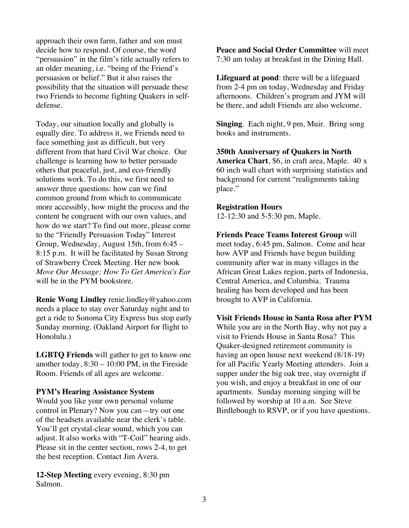approach their own farm, father and son must decide how to respond. Of course, the word "persuasion" in the film's title actually refers to an older meaning, i.e. "being of the Friend's persuasion or belief." But it also raises the possibility that the situation will persuade these two Friends to become fighting Quakers in selfdefense.

Today, our situation locally and globally is equally dire. To address it, we Friends need to face something just as difficult, but very different from that hard Civil War choice. Our challenge is learning how to better persuade others that peaceful, just, and eco-friendly solutions work. To do this, we first need to answer three questions: how can we find common ground from which to communicate more accessibly, how might the process and the content be congruent with our own values, and how do we start? To find out more, please come to the "Friendly Persuasion Today" Interest Group, Wednesday, August 15th, from 6:45 – 8:15 p.m. It will be facilitated by Susan Strong of Strawberry Creek Meeting. Her new book *Move Our Message: How To Get America's Ear* will be in the PYM bookstore.

**Renie Wong Lindley** renie.lindley@yahoo.com needs a place to stay over Saturday night and to get a ride to Sonoma City Express bus stop early Sunday morning. (Oakland Airport for flight to Honolulu.)

**LGBTQ Friends** will gather to get to know one another today,  $8:30 - 10:00$  PM, in the Fireside Room. Friends of all ages are welcome.

#### **PYM's Hearing Assistance System**

Would you like your own personal volume control in Plenary? Now you can—try out one of the headsets available near the clerk's table. You'll get crystal-clear sound, which you can adjust. It also works with "T-Coil" hearing aids. Please sit in the center section, rows 2-4, to get the best reception. Contact Jim Avera.

**12-Step Meeting** every evening, 8:30 pm Salmon.

**Peace and Social Order Committee** will meet 7:30 am today at breakfast in the Dining Hall.

**Lifeguard at pond**: there will be a lifeguard from 2-4 pm on today, Wednesday and Friday afternoons. Children's program and JYM will be there, and adult Friends are also welcome.

**Singing**. Each night, 9 pm, Muir. Bring song books and instruments.

**350th Anniversary of Quakers in North America Chart**, \$6, in craft area, Maple. 40 x 60 inch wall chart with surprising statistics and background for current "realignments taking place."

### **Registration Hours**

12-12:30 and 5-5:30 pm, Maple.

**Friends Peace Teams Interest Group** will meet today, 6:45 pm, Salmon. Come and hear how AVP and Friends have begun building community after war in many villages in the African Great Lakes region, parts of Indonesia, Central America, and Columbia. Trauma healing has been developed and has been brought to AVP in California.

**Visit Friends House in Santa Rosa after PYM** While you are in the North Bay, why not pay a visit to Friends House in Santa Rosa? This Quaker-designed retirement community is having an open house next weekend (8/18-19) for all Pacific Yearly Meeting attenders. Join a supper under the big oak tree, stay overnight if you wish, and enjoy a breakfast in one of our apartments. Sunday morning singing will be followed by worship at 10 a.m. See Steve Birdlebough to RSVP, or if you have questions.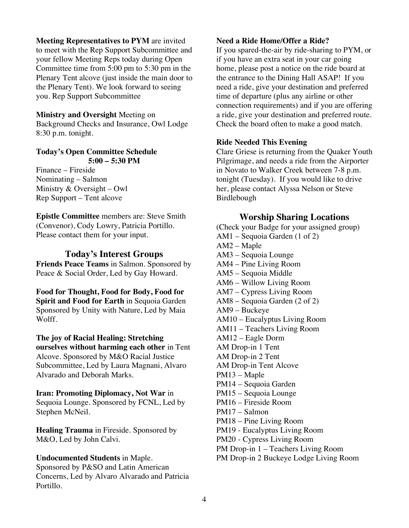**Meeting Representatives to PYM** are invited to meet with the Rep Support Subcommittee and your fellow Meeting Reps today during Open Committee time from 5:00 pm to 5:30 pm in the Plenary Tent alcove (just inside the main door to the Plenary Tent). We look forward to seeing you. Rep Support Subcommittee

# **Ministry and Oversight** Meeting on

Background Checks and Insurance, Owl Lodge 8:30 p.m. tonight.

#### **Today's Open Committee Schedule 5:00 – 5:30 PM**

Finance – Fireside Nominating – Salmon Ministry & Oversight – Owl Rep Support – Tent alcove

**Epistle Committee** members are: Steve Smith (Convenor), Cody Lowry, Patricia Portillo. Please contact them for your input.

# **Today's Interest Groups**

**Friends Peace Teams** in Salmon. Sponsored by Peace & Social Order, Led by Gay Howard.

**Food for Thought, Food for Body, Food for Spirit and Food for Earth** in Sequoia Garden Sponsored by Unity with Nature, Led by Maia Wolff.

# **The joy of Racial Healing: Stretching**

**ourselves without harming each other** in Tent Alcove. Sponsored by M&O Racial Justice Subcommittee, Led by Laura Magnani, Alvaro Alvarado and Deborah Marks.

# **Iran: Promoting Diplomacy, Not War** in

Sequoia Lounge. Sponsored by FCNL, Led by Stephen McNeil.

**Healing Trauma** in Fireside. Sponsored by M&O, Led by John Calvi.

#### **Undocumented Students** in Maple.

Sponsored by P&SO and Latin American Concerns, Led by Alvaro Alvarado and Patricia Portillo.

# **Need a Ride Home/Offer a Ride?**

If you spared-the-air by ride-sharing to PYM, or if you have an extra seat in your car going home, please post a notice on the ride board at the entrance to the Dining Hall ASAP! If you need a ride, give your destination and preferred time of departure (plus any airline or other connection requirements) and if you are offering a ride, give your destination and preferred route. Check the board often to make a good match.

#### **Ride Needed This Evening**

Clare Griese is returning from the Quaker Youth Pilgrimage, and needs a ride from the Airporter in Novato to Walker Creek between 7-8 p.m. tonight (Tuesday). If you would like to drive her, please contact Alyssa Nelson or Steve Birdlebough

# **Worship Sharing Locations**

(Check your Badge for your assigned group) AM1 – Sequoia Garden (1 of 2) AM2 – Maple AM3 – Sequoia Lounge AM4 – Pine Living Room AM5 – Sequoia Middle AM6 – Willow Living Room AM7 – Cypress Living Room AM8 – Sequoia Garden (2 of 2) AM9 – Buckeye AM10 – Eucalyptus Living Room AM11 – Teachers Living Room AM12 – Eagle Dorm AM Drop-in 1 Tent AM Drop-in 2 Tent AM Drop-in Tent Alcove PM13 – Maple PM14 – Sequoia Garden PM15 – Sequoia Lounge PM16 – Fireside Room PM17 – Salmon PM18 – Pine Living Room PM19 - Eucalyptus Living Room PM20 - Cypress Living Room PM Drop-in 1 – Teachers Living Room PM Drop-in 2 Buckeye Lodge Living Room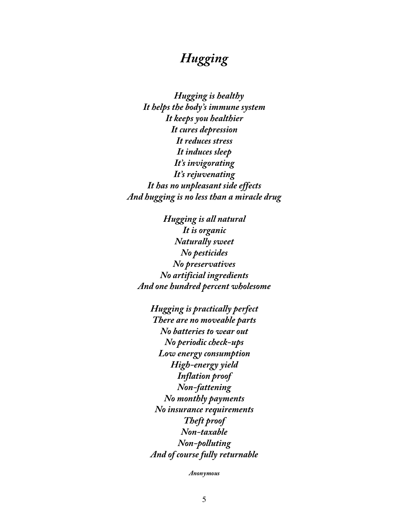# *Hugging*

 *Hugging is healthy It helps the body's immune system It keeps you healthier It cures depression It reduces stress It induces sleep It's invigorating It's rejuvenating It has no unpleasant side effects And hugging is no less than a miracle drug*

*Hugging is all natural It is organic Naturally sweet No pesticides No preservatives No artificial ingredients And one hundred percent wholesome*

> *Hugging is practically perfect There are no moveable parts No batteries to wear out No periodic check-ups Low energy consumption High-energy yield Inflation proof Non-fattening No monthly payments No insurance requirements Theft proof Non-taxable Non-polluting And of course fully returnable*

> > *Anonymous*